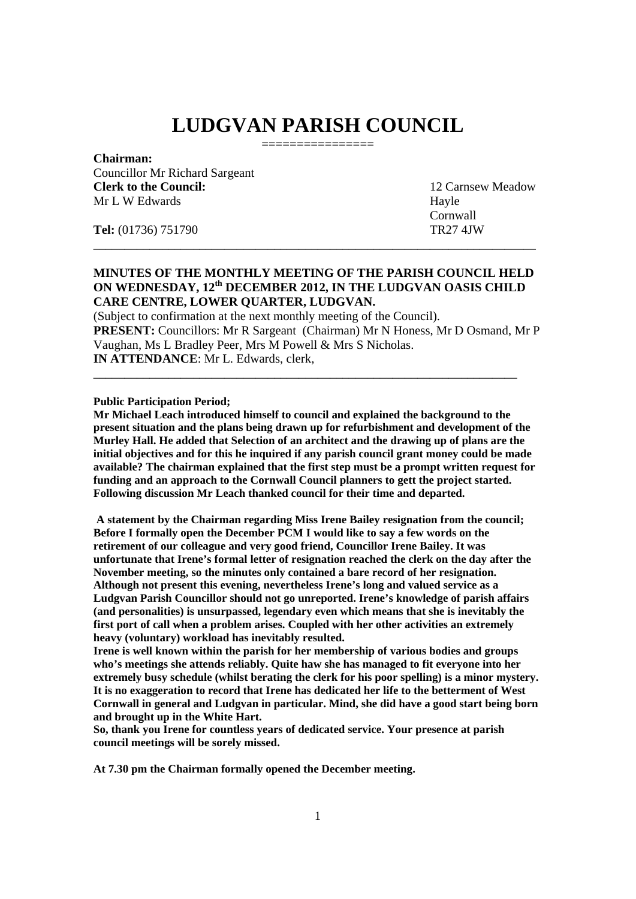# **LUDGVAN PARISH COUNCIL**  ================

# **Chairman:**

Councillor Mr Richard Sargeant **Clerk to the Council:** 12 Carnsew Meadow Mr L W Edwards Hayle

 Cornwall **Tel:** (01736) 751790 TR27 4JW

\_\_\_\_\_\_\_\_\_\_\_\_\_\_\_\_\_\_\_\_\_\_\_\_\_\_\_\_\_\_\_\_\_\_\_\_\_\_\_\_\_\_\_\_\_\_\_\_\_\_\_\_\_\_\_\_\_\_\_\_\_\_\_\_\_\_\_\_\_\_\_

# **MINUTES OF THE MONTHLY MEETING OF THE PARISH COUNCIL HELD ON WEDNESDAY, 12th DECEMBER 2012, IN THE LUDGVAN OASIS CHILD CARE CENTRE, LOWER QUARTER, LUDGVAN.**

(Subject to confirmation at the next monthly meeting of the Council). **PRESENT:** Councillors: Mr R Sargeant (Chairman) Mr N Honess, Mr D Osmand, Mr P Vaughan, Ms L Bradley Peer, Mrs M Powell & Mrs S Nicholas. **IN ATTENDANCE**: Mr L. Edwards, clerk,

\_\_\_\_\_\_\_\_\_\_\_\_\_\_\_\_\_\_\_\_\_\_\_\_\_\_\_\_\_\_\_\_\_\_\_\_\_\_\_\_\_\_\_\_\_\_\_\_\_\_\_\_\_\_\_\_\_\_\_\_\_\_\_\_\_\_\_\_

#### **Public Participation Period;**

**Mr Michael Leach introduced himself to council and explained the background to the present situation and the plans being drawn up for refurbishment and development of the Murley Hall. He added that Selection of an architect and the drawing up of plans are the initial objectives and for this he inquired if any parish council grant money could be made available? The chairman explained that the first step must be a prompt written request for funding and an approach to the Cornwall Council planners to gett the project started. Following discussion Mr Leach thanked council for their time and departed.** 

 **A statement by the Chairman regarding Miss Irene Bailey resignation from the council; Before I formally open the December PCM I would like to say a few words on the retirement of our colleague and very good friend, Councillor Irene Bailey. It was unfortunate that Irene's formal letter of resignation reached the clerk on the day after the November meeting, so the minutes only contained a bare record of her resignation. Although not present this evening, nevertheless Irene's long and valued service as a Ludgvan Parish Councillor should not go unreported. Irene's knowledge of parish affairs (and personalities) is unsurpassed, legendary even which means that she is inevitably the first port of call when a problem arises. Coupled with her other activities an extremely heavy (voluntary) workload has inevitably resulted.** 

**Irene is well known within the parish for her membership of various bodies and groups who's meetings she attends reliably. Quite haw she has managed to fit everyone into her extremely busy schedule (whilst berating the clerk for his poor spelling) is a minor mystery. It is no exaggeration to record that Irene has dedicated her life to the betterment of West Cornwall in general and Ludgvan in particular. Mind, she did have a good start being born and brought up in the White Hart.** 

**So, thank you Irene for countless years of dedicated service. Your presence at parish council meetings will be sorely missed.** 

**At 7.30 pm the Chairman formally opened the December meeting.**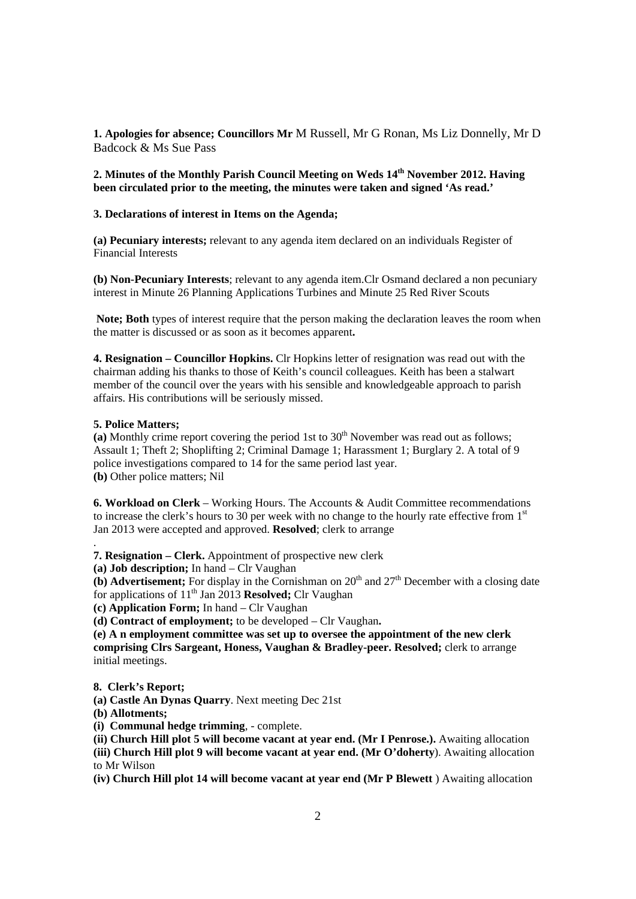**1. Apologies for absence; Councillors Mr** M Russell, Mr G Ronan, Ms Liz Donnelly, Mr D Badcock & Ms Sue Pass

2. Minutes of the Monthly Parish Council Meeting on Weds 14<sup>th</sup> November 2012. Having **been circulated prior to the meeting, the minutes were taken and signed 'As read.'** 

#### **3. Declarations of interest in Items on the Agenda;**

**(a) Pecuniary interests;** relevant to any agenda item declared on an individuals Register of Financial Interests

**(b) Non-Pecuniary Interests**; relevant to any agenda item.Clr Osmand declared a non pecuniary interest in Minute 26 Planning Applications Turbines and Minute 25 Red River Scouts

 **Note; Both** types of interest require that the person making the declaration leaves the room when the matter is discussed or as soon as it becomes apparent**.** 

**4. Resignation – Councillor Hopkins.** Clr Hopkins letter of resignation was read out with the chairman adding his thanks to those of Keith's council colleagues. Keith has been a stalwart member of the council over the years with his sensible and knowledgeable approach to parish affairs. His contributions will be seriously missed.

#### **5. Police Matters;**

.

(a) Monthly crime report covering the period 1st to  $30<sup>th</sup>$  November was read out as follows; Assault 1; Theft 2; Shoplifting 2; Criminal Damage 1; Harassment 1; Burglary 2. A total of 9 police investigations compared to 14 for the same period last year. **(b)** Other police matters; Nil

**6. Workload on Clerk** – Working Hours. The Accounts & Audit Committee recommendations to increase the clerk's hours to 30 per week with no change to the hourly rate effective from  $1<sup>st</sup>$ Jan 2013 were accepted and approved. **Resolved**; clerk to arrange

**7. Resignation – Clerk.** Appointment of prospective new clerk

**(a) Job description;** In hand – Clr Vaughan

 $\overrightarrow{b}$  **Advertisement:** For display in the Cornishman on 20<sup>th</sup> and 27<sup>th</sup> December with a closing date for applications of 11<sup>th</sup> Jan 2013 **Resolved;** Clr Vaughan

**(c) Application Form;** In hand – Clr Vaughan

**(d) Contract of employment;** to be developed – Clr Vaughan**.** 

**(e) A n employment committee was set up to oversee the appointment of the new clerk comprising Clrs Sargeant, Honess, Vaughan & Bradley-peer. Resolved;** clerk to arrange initial meetings.

#### **8. Clerk's Report;**

**(a) Castle An Dynas Quarry**. Next meeting Dec 21st

**(b) Allotments;**

**(i) Communal hedge trimming**, - complete.

**(ii) Church Hill plot 5 will become vacant at year end. (Mr I Penrose.).** Awaiting allocation

**(iii) Church Hill plot 9 will become vacant at year end. (Mr O'doherty**). Awaiting allocation to Mr Wilson

**(iv) Church Hill plot 14 will become vacant at year end (Mr P Blewett** ) Awaiting allocation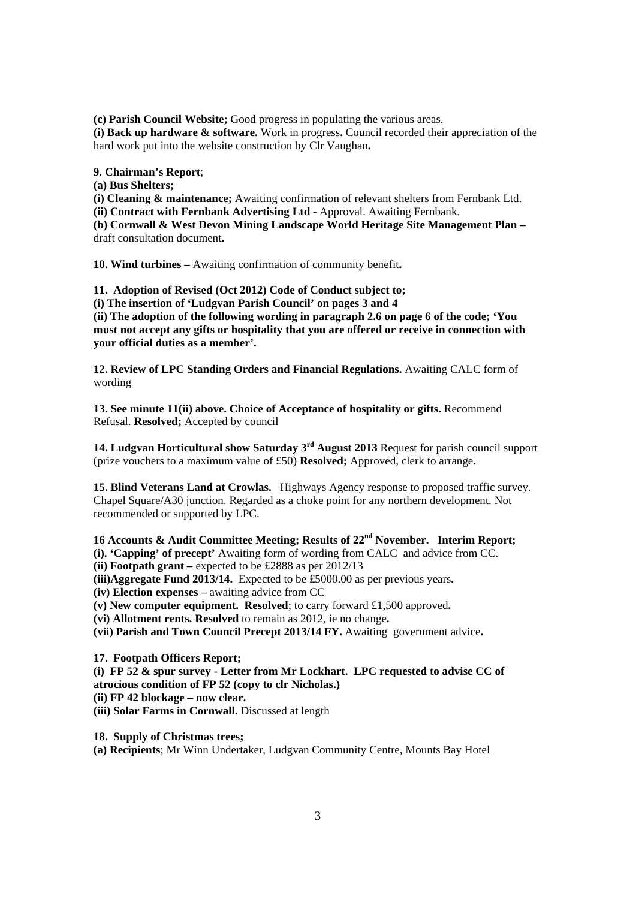**(c) Parish Council Website;** Good progress in populating the various areas.

**(i) Back up hardware & software.** Work in progress**.** Council recorded their appreciation of the hard work put into the website construction by Clr Vaughan**.** 

**9. Chairman's Report**;

**(a) Bus Shelters;** 

**(i) Cleaning & maintenance;** Awaiting confirmation of relevant shelters from Fernbank Ltd.

**(ii) Contract with Fernbank Advertising Ltd -** Approval. Awaiting Fernbank.

**(b) Cornwall & West Devon Mining Landscape World Heritage Site Management Plan –**  draft consultation document**.** 

**10. Wind turbines –** Awaiting confirmation of community benefit**.** 

**11. Adoption of Revised (Oct 2012) Code of Conduct subject to;** 

**(i) The insertion of 'Ludgvan Parish Council' on pages 3 and 4** 

**(ii) The adoption of the following wording in paragraph 2.6 on page 6 of the code; 'You must not accept any gifts or hospitality that you are offered or receive in connection with your official duties as a member'.** 

**12. Review of LPC Standing Orders and Financial Regulations.** Awaiting CALC form of wording

**13. See minute 11(ii) above. Choice of Acceptance of hospitality or gifts.** Recommend Refusal. **Resolved;** Accepted by council

**14. Ludgvan Horticultural show Saturday 3rd August 2013** Request for parish council support (prize vouchers to a maximum value of £50) **Resolved;** Approved, clerk to arrange**.** 

**15. Blind Veterans Land at Crowlas.** Highways Agency response to proposed traffic survey. Chapel Square/A30 junction. Regarded as a choke point for any northern development. Not recommended or supported by LPC.

**16 Accounts & Audit Committee Meeting; Results of 22nd November. Interim Report;** 

**(i). 'Capping' of precept'** Awaiting form of wording from CALC and advice from CC.

**(ii) Footpath grant –** expected to be £2888 as per 2012/13

**(iii)Aggregate Fund 2013/14.** Expected to be £5000.00 as per previous years**.** 

**(iv) Election expenses –** awaiting advice from CC

**(v) New computer equipment. Resolved**; to carry forward £1,500 approved**.** 

**(vi) Allotment rents. Resolved** to remain as 2012, ie no change**.** 

**(vii) Parish and Town Council Precept 2013/14 FY.** Awaiting government advice**.** 

**17. Footpath Officers Report;** 

**(i) FP 52 & spur survey - Letter from Mr Lockhart. LPC requested to advise CC of atrocious condition of FP 52 (copy to clr Nicholas.)** 

**(ii) FP 42 blockage – now clear.**

**(iii) Solar Farms in Cornwall.** Discussed at length

**18. Supply of Christmas trees;** 

**(a) Recipients**; Mr Winn Undertaker, Ludgvan Community Centre, Mounts Bay Hotel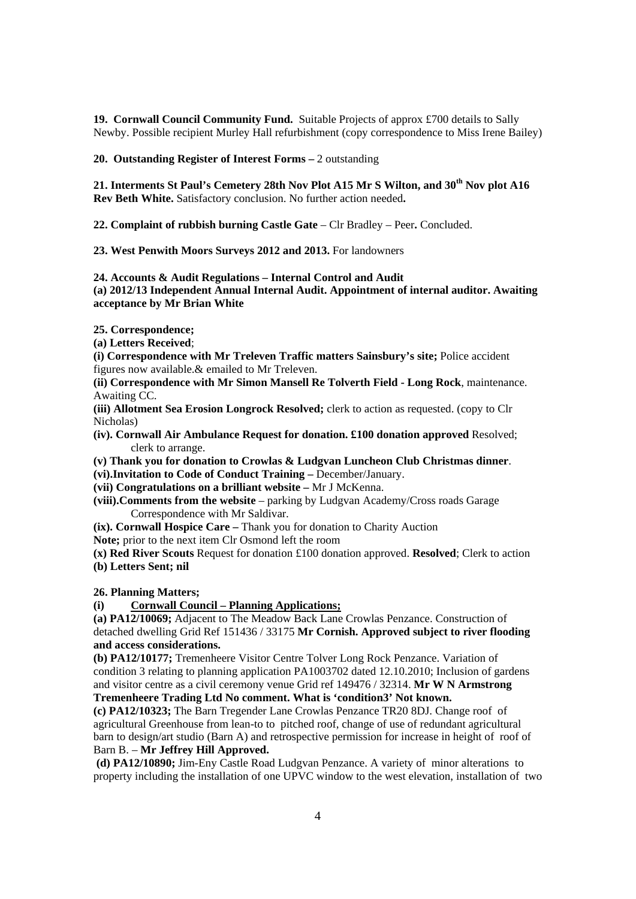**19. Cornwall Council Community Fund.** Suitable Projects of approx £700 details to Sally Newby. Possible recipient Murley Hall refurbishment (copy correspondence to Miss Irene Bailey)

# **20. Outstanding Register of Interest Forms –** 2 outstanding

**21. Interments St Paul's Cemetery 28th Nov Plot A15 Mr S Wilton, and 30th Nov plot A16 Rev Beth White.** Satisfactory conclusion. No further action needed**.** 

**22. Complaint of rubbish burning Castle Gate** – Clr Bradley – Peer**.** Concluded.

**23. West Penwith Moors Surveys 2012 and 2013.** For landowners

#### **24. Accounts & Audit Regulations – Internal Control and Audit**

**(a) 2012/13 Independent Annual Internal Audit. Appointment of internal auditor. Awaiting acceptance by Mr Brian White** 

**25. Correspondence;** 

**(a) Letters Received**;

**(i) Correspondence with Mr Treleven Traffic matters Sainsbury's site;** Police accident figures now available.& emailed to Mr Treleven.

**(ii) Correspondence with Mr Simon Mansell Re Tolverth Field - Long Rock**, maintenance. Awaiting CC.

**(iii) Allotment Sea Erosion Longrock Resolved;** clerk to action as requested. (copy to Clr Nicholas)

- **(iv). Cornwall Air Ambulance Request for donation. £100 donation approved** Resolved; clerk to arrange.
- **(v) Thank you for donation to Crowlas & Ludgvan Luncheon Club Christmas dinner**.
- **(vi).Invitation to Code of Conduct Training** December/January.
- **(vii) Congratulations on a brilliant website** Mr J McKenna.
- **(viii).Comments from the website** parking by Ludgvan Academy/Cross roads Garage Correspondence with Mr Saldivar.

**(ix). Cornwall Hospice Care –** Thank you for donation to Charity Auction

**Note;** prior to the next item Clr Osmond left the room

**(x) Red River Scouts** Request for donation £100 donation approved. **Resolved**; Clerk to action **(b) Letters Sent; nil** 

**26. Planning Matters;** 

# **(i) Cornwall Council – Planning Applications;**

**(a) PA12/10069;** Adjacent to The Meadow Back Lane Crowlas Penzance. Construction of detached dwelling Grid Ref 151436 / 33175 **Mr Cornish. Approved subject to river flooding and access considerations.** 

**(b) PA12/10177;** Tremenheere Visitor Centre Tolver Long Rock Penzance. Variation of condition 3 relating to planning application PA1003702 dated 12.10.2010; Inclusion of gardens and visitor centre as a civil ceremony venue Grid ref 149476 / 32314. **Mr W N Armstrong Tremenheere Trading Ltd No comment. What is 'condition3' Not known.** 

**(c) PA12/10323;** The Barn Tregender Lane Crowlas Penzance TR20 8DJ. Change roof of agricultural Greenhouse from lean-to to pitched roof, change of use of redundant agricultural barn to design/art studio (Barn A) and retrospective permission for increase in height of roof of Barn B. – **Mr Jeffrey Hill Approved.**

 **(d) PA12/10890;** Jim-Eny Castle Road Ludgvan Penzance. A variety of minor alterations to property including the installation of one UPVC window to the west elevation, installation of two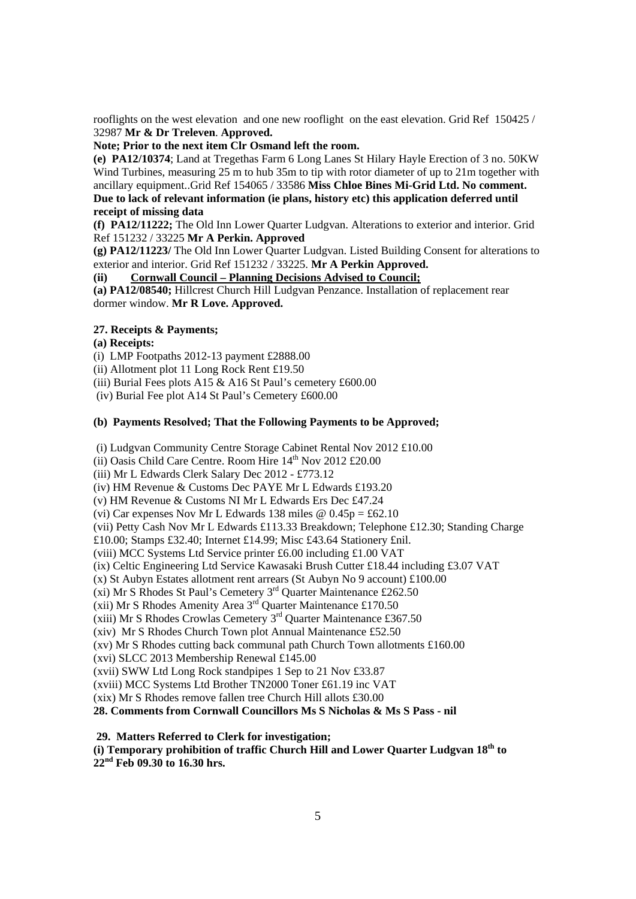rooflights on the west elevation and one new rooflight on the east elevation. Grid Ref 150425 / 32987 **Mr & Dr Treleven**. **Approved.** 

# **Note; Prior to the next item Clr Osmand left the room.**

**(e) PA12/10374**; Land at Tregethas Farm 6 Long Lanes St Hilary Hayle Erection of 3 no. 50KW Wind Turbines, measuring 25 m to hub 35m to tip with rotor diameter of up to 21m together with ancillary equipment..Grid Ref 154065 / 33586 **Miss Chloe Bines Mi-Grid Ltd. No comment. Due to lack of relevant information (ie plans, history etc) this application deferred until receipt of missing data**

**(f) PA12/11222;** The Old Inn Lower Quarter Ludgvan. Alterations to exterior and interior. Grid Ref 151232 / 33225 **Mr A Perkin. Approved** 

**(g) PA12/11223/** The Old Inn Lower Quarter Ludgvan. Listed Building Consent for alterations to exterior and interior. Grid Ref 151232 / 33225. **Mr A Perkin Approved.** 

**(ii) Cornwall Council – Planning Decisions Advised to Council;**

**(a) PA12/08540;** Hillcrest Church Hill Ludgvan Penzance. Installation of replacement rear dormer window. **Mr R Love. Approved.**

#### **27. Receipts & Payments;**

#### **(a) Receipts:**

(i) LMP Footpaths 2012-13 payment £2888.00

(ii) Allotment plot 11 Long Rock Rent £19.50

(iii) Burial Fees plots A15 & A16 St Paul's cemetery £600.00

(iv) Burial Fee plot A14 St Paul's Cemetery £600.00

# **(b) Payments Resolved; That the Following Payments to be Approved;**

(i) Ludgvan Community Centre Storage Cabinet Rental Nov 2012 £10.00

(ii) Oasis Child Care Centre. Room Hire  $14<sup>th</sup>$  Nov 2012 £20.00

(iii) Mr L Edwards Clerk Salary Dec 2012 - £773.12

(iv) HM Revenue & Customs Dec PAYE Mr L Edwards £193.20

(v) HM Revenue & Customs NI Mr L Edwards Ers Dec £47.24

(vi) Car expenses Nov Mr L Edwards 138 miles  $\omega$  0.45p = £62.10

(vii) Petty Cash Nov Mr L Edwards £113.33 Breakdown; Telephone £12.30; Standing Charge

£10.00; Stamps £32.40; Internet £14.99; Misc £43.64 Stationery £nil.

(viii) MCC Systems Ltd Service printer £6.00 including £1.00 VAT

(ix) Celtic Engineering Ltd Service Kawasaki Brush Cutter £18.44 including £3.07 VAT

(x) St Aubyn Estates allotment rent arrears (St Aubyn No 9 account) £100.00

(xi) Mr S Rhodes St Paul's Cemetery 3rd Quarter Maintenance £262.50

(xii) Mr S Rhodes Bertain's Cemetery 5 Calacter Maintenance  $\approx$  253.<br>(xii) Mr S Rhodes Amenity Area  $3<sup>rd</sup>$  Quarter Maintenance £170.50

(xiii) Mr S Rhodes Crowlas Cemetery  $3<sup>rd</sup>$  Quarter Maintenance £367.50

(xiv) Mr S Rhodes Church Town plot Annual Maintenance £52.50

(xv) Mr S Rhodes cutting back communal path Church Town allotments £160.00

(xvi) SLCC 2013 Membership Renewal £145.00

(xvii) SWW Ltd Long Rock standpipes 1 Sep to 21 Nov £33.87

(xviii) MCC Systems Ltd Brother TN2000 Toner £61.19 inc VAT

(xix) Mr S Rhodes remove fallen tree Church Hill allots £30.00

**28. Comments from Cornwall Councillors Ms S Nicholas & Ms S Pass - nil** 

# **29. Matters Referred to Clerk for investigation;**

# **(i) Temporary prohibition of traffic Church Hill and Lower Quarter Ludgvan 18th to 22nd Feb 09.30 to 16.30 hrs.**